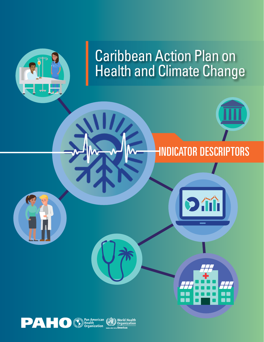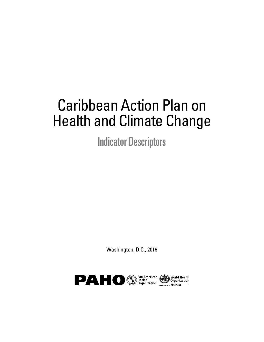# Caribbean Action Plan on Health and Climate Change

Indicator Descriptors

Washington, D.C., 2019

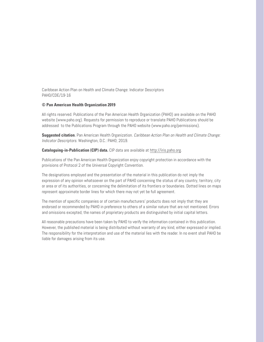Caribbean Action Plan on Health and Climate Change: Indicator Descriptors PAHO/CDE/19-16

#### **© Pan American Health Organization 2019**

All rights reserved. Publications of the Pan American Health Organization (PAHO) are available on the PAHO website (www.paho.org). Requests for permission to reproduce or translate PAHO Publications should be addressed to the Publications Program through the PAHO website (www.paho.org/permissions).

**Suggested citation**. Pan American Health Organization. Caribbean Action Plan on Health and Climate Change: Indicator Descriptors. Washington, D.C.: PAHO; 2019.

**Cataloguing-in-Publication (CIP) data.** CIP data are available at [http://iris.paho.org.](http://iris.paho.org) 

Publications of the Pan American Health Organization enjoy copyright protection in accordance with the provisions of Protocol 2 of the Universal Copyright Convention.

The designations employed and the presentation of the material in this publication do not imply the expression of any opinion whatsoever on the part of PAHO concerning the status of any country, territory, city or area or of its authorities, or concerning the delimitation of its frontiers or boundaries. Dotted lines on maps represent approximate border lines for which there may not yet be full agreement.

The mention of specific companies or of certain manufacturers' products does not imply that they are endorsed or recommended by PAHO in preference to others of a similar nature that are not mentioned. Errors and omissions excepted, the names of proprietary products are distinguished by initial capital letters.

All reasonable precautions have been taken by PAHO to verify the information contained in this publication. However, the published material is being distributed without warranty of any kind, either expressed or implied. The responsibility for the interpretation and use of the material lies with the reader. In no event shall PAHO be liable for damages arising from its use.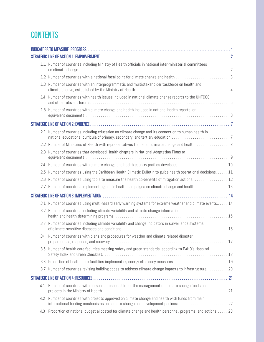#### **CONTENTS**

|       | 1.1.1 Number of countries including Ministry of Health officials in national inter-ministerial committees                                                                              |
|-------|----------------------------------------------------------------------------------------------------------------------------------------------------------------------------------------|
|       | 1.1.2 Number of countries with a national focal point for climate change and health3                                                                                                   |
|       | 1.1.3 Number of countries with an interprogrammatic and multistakeholder taskforce on health and                                                                                       |
| 1.14  | Number of countries with health issues included in national climate change reports to the UNFCCC                                                                                       |
|       | 1.1.5 Number of countries with climate change and health included in national health reports, or                                                                                       |
|       |                                                                                                                                                                                        |
|       | 1.2.1 Number of countries including education on climate change and its connection to human health in<br>national educational curricula of primary, secondary, and tertiary education7 |
|       |                                                                                                                                                                                        |
|       | I.2.3 Number of countries that developed Health chapters in National Adaptation Plans or                                                                                               |
|       |                                                                                                                                                                                        |
|       | 1.2.5 Number of countries using the Caribbean Health Climatic Bulletin to guide health operational decisions. 11                                                                       |
|       |                                                                                                                                                                                        |
|       | 1.2.7 Number of countries implementing public health campaigns on climate change and health. 13                                                                                        |
|       |                                                                                                                                                                                        |
|       | 1.3.1 Number of countries using multi-hazard early warning systems for extreme weather and climate events 14                                                                           |
|       | 1.3.2 Number of countries including climate variability and climate change information in                                                                                              |
| 1.3.3 | Number of countries including climate variability and change indicators in surveillance systems                                                                                        |
|       | 1.34 Number of countries with plans and procedures for weather and climate-related disaster                                                                                            |
|       | 1.3.5 Number of health care facilities meeting safety and green standards, according to PAHO's Hospital                                                                                |
|       | 1.3.6 Proportion of health care facilities implementing energy efficiency measures 19                                                                                                  |
|       | 1.3.7 Number of countries revising building codes to address climate change impacts to infrastructure 20                                                                               |
|       |                                                                                                                                                                                        |
| 4.1   | Number of countries with personnel responsible for the management of climate change funds and                                                                                          |
|       | I4.2 Number of countries with projects approved on climate change and health with funds from main<br>international funding mechanisms on climate change and development partners22     |
| 4.3   | Proportion of national budget allocated for climate change and health personnel, programs, and actions 23                                                                              |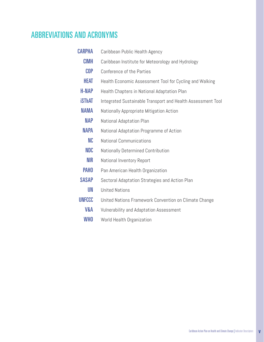### ABBREVIATIONS AND ACRONYMS

| <b>CARPHA</b>  | Caribbean Public Health Agency                              |  |
|----------------|-------------------------------------------------------------|--|
| <b>CIMH</b>    | Caribbean Institute for Meteorology and Hydrology           |  |
| <b>COP</b>     | Conference of the Parties                                   |  |
| Heat           | Health Economic Assessment Tool for Cycling and Walking     |  |
| <b>H-NAP</b>   | Health Chapters in National Adaptation Plan                 |  |
| <b>iSThAT</b>  | Integrated Sustainable Transport and Health Assessment Tool |  |
| NAMA           | Nationally Appropriate Mitigation Action                    |  |
| <b>NAP</b>     | National Adaptation Plan                                    |  |
| <b>NAPA</b>    | National Adaptation Programme of Action                     |  |
| NC             | <b>National Communications</b>                              |  |
| <b>NDC</b>     | Nationally Determined Contribution                          |  |
| <b>NIR</b>     | National Inventory Report                                   |  |
| <b>PAHO</b>    | Pan American Health Organization                            |  |
| <b>SASAP</b>   | Sectoral Adaptation Strategies and Action Plan              |  |
| UN             | <b>United Nations</b>                                       |  |
| <b>UNFCCC</b>  | United Nations Framework Convention on Climate Change       |  |
| <b>V&amp;A</b> | Vulnerability and Adaptation Assessment                     |  |
| <b>WHO</b>     | World Health Organization                                   |  |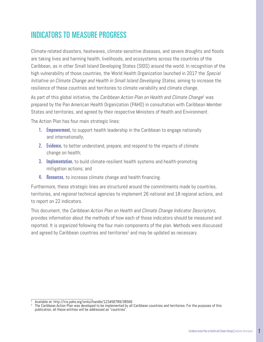### <span id="page-5-0"></span>INDICATORS TO MEASURE PROGRESS

Climate-related disasters, heatwaves, climate-sensitive diseases, and severe droughts and floods are taking lives and harming health, livelihoods, and ecosystems across the countries of the Caribbean, as in other Small Island Developing States (SIDS) around the world. In recognition of the high vulnerability of those countries, the World Health Organization launched in 2017 the Special Initiative on Climate Change and Health in Small Island Developing States, aiming to increase the resilience of these countries and territories to climate variability and climate change.

As part of this global initiative, the *Caribbean Action Plan on Health and Climate Change*<sup>1</sup> was prepared by the Pan American Health Organization (PAHO) in consultation with Caribbean Member States and territories, and agreed by their respective Ministers of Health and Environment.

The Action Plan has four main strategic lines:

- **1. Empowerment, to support health leadership in the Caribbean to engage nationally** and internationally;
- 2. Evidence, to better understand, prepare, and respond to the impacts of climate change on health;
- **3.** Implementation, to build climate-resilient health systems and health-promoting mitigation actions; and
- 4. Resources, to increase climate change and health financing.

Furthermore, these strategic lines are structured around the commitments made by countries, territories, and regional technical agencies to implement 26 national and 18 regional actions, and to report on 22 indicators.

This document, the Caribbean Action Plan on Health and Climate Change Indicator Descriptors, provides information about the methods of how each of those indicators should be measured and reported. It is organized following the four main components of the plan. Methods were discussed and agreed by Caribbean countries and territories $^2$  and may be updated as necessary.

<sup>&</sup>lt;sup>1</sup> Available at: http://iris.paho.org/xmlui/handle/123456789/38566<br><sup>2</sup> The Caribbean Action Plan was developed to be implemented by all Caribbean countries and territories. For the purposes of this publication, all these entities will be addressed as "countries".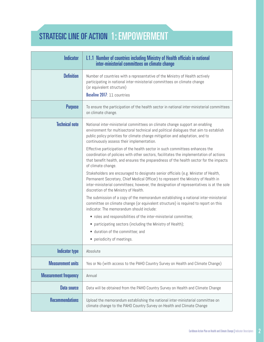# <span id="page-6-0"></span>STRATEGIC LINE OF ACTION 1: EMPOWERMENT

| <b>Indicator</b>             | 1.1.1 Number of countries including Ministry of Health officials in national<br>inter-ministerial committees on climate change                                                                                                                                                                                                                                                                                                                                                                                                                                                                                                                                                                                                                                                                                                                                                                                                                                                                                                                                                                                                                                                                                                                                                                                                                  |
|------------------------------|-------------------------------------------------------------------------------------------------------------------------------------------------------------------------------------------------------------------------------------------------------------------------------------------------------------------------------------------------------------------------------------------------------------------------------------------------------------------------------------------------------------------------------------------------------------------------------------------------------------------------------------------------------------------------------------------------------------------------------------------------------------------------------------------------------------------------------------------------------------------------------------------------------------------------------------------------------------------------------------------------------------------------------------------------------------------------------------------------------------------------------------------------------------------------------------------------------------------------------------------------------------------------------------------------------------------------------------------------|
| <b>Definition</b>            | Number of countries with a representative of the Ministry of Health actively<br>participating in national inter-ministerial committees on climate change<br>(or equivalent structure)<br>Baseline 2017: 11 countries                                                                                                                                                                                                                                                                                                                                                                                                                                                                                                                                                                                                                                                                                                                                                                                                                                                                                                                                                                                                                                                                                                                            |
| <b>Purpose</b>               | To ensure the participation of the health sector in national inter-ministerial committees<br>on climate change.                                                                                                                                                                                                                                                                                                                                                                                                                                                                                                                                                                                                                                                                                                                                                                                                                                                                                                                                                                                                                                                                                                                                                                                                                                 |
| <b>Technical note</b>        | National inter-ministerial committees on climate change support an enabling<br>environment for multisectoral technical and political dialogues that aim to establish<br>public policy priorities for climate change mitigation and adaptation, and to<br>continuously assess their implementation.<br>Effective participation of the health sector in such committees enhances the<br>coordination of policies with other sectors, facilitates the implementation of actions<br>that benefit health, and ensures the preparedness of the health sector for the impacts<br>of climate change.<br>Stakeholders are encouraged to designate senior officials (e.g. Minister of Health,<br>Permanent Secretary, Chief Medical Officer) to represent the Ministry of Health in<br>inter-ministerial committees; however, the designation of representatives is at the sole<br>discretion of the Ministry of Health.<br>The submission of a copy of the memorandum establishing a national inter-ministerial<br>committee on climate change (or equivalent structure) is required to report on this<br>indicator. The memorandum should include:<br>• roles and responsibilities of the inter-ministerial committee;<br>• participating sectors (including the Ministry of Health);<br>• duration of the committee; and<br>• periodicity of meetings. |
| <b>Indicator type</b>        | Absolute                                                                                                                                                                                                                                                                                                                                                                                                                                                                                                                                                                                                                                                                                                                                                                                                                                                                                                                                                                                                                                                                                                                                                                                                                                                                                                                                        |
| <b>Measurement units</b>     | Yes or No (with access to the PAHO Country Survey on Health and Climate Change)                                                                                                                                                                                                                                                                                                                                                                                                                                                                                                                                                                                                                                                                                                                                                                                                                                                                                                                                                                                                                                                                                                                                                                                                                                                                 |
| <b>Measurement frequency</b> | Annual                                                                                                                                                                                                                                                                                                                                                                                                                                                                                                                                                                                                                                                                                                                                                                                                                                                                                                                                                                                                                                                                                                                                                                                                                                                                                                                                          |
| <b>Data source</b>           | Data will be obtained from the PAHO Country Survey on Health and Climate Change                                                                                                                                                                                                                                                                                                                                                                                                                                                                                                                                                                                                                                                                                                                                                                                                                                                                                                                                                                                                                                                                                                                                                                                                                                                                 |
| <b>Recommendations</b>       | Upload the memorandum establishing the national inter-ministerial committee on<br>climate change to the PAHO Country Survey on Health and Climate Change                                                                                                                                                                                                                                                                                                                                                                                                                                                                                                                                                                                                                                                                                                                                                                                                                                                                                                                                                                                                                                                                                                                                                                                        |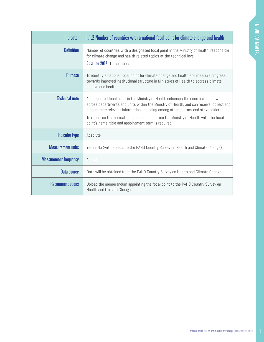<span id="page-7-0"></span>

| <b>Indicator</b>             | 1.1.2 Number of countries with a national focal point for climate change and health                                                                                                                                                                                                                                                                                                                                    |
|------------------------------|------------------------------------------------------------------------------------------------------------------------------------------------------------------------------------------------------------------------------------------------------------------------------------------------------------------------------------------------------------------------------------------------------------------------|
| <b>Definition</b>            | Number of countries with a designated focal point in the Ministry of Health, responsible<br>for climate change and health-related topics at the technical level<br>Baseline 2017: 11 countries                                                                                                                                                                                                                         |
| <b>Purpose</b>               | To identify a national focal point for climate change and health and measure progress<br>towards improved institutional structure in Ministries of Health to address climate<br>change and health.                                                                                                                                                                                                                     |
| <b>Technical note</b>        | A designated focal point in the Ministry of Health enhances the coordination of work<br>across departments and units within the Ministry of Health, and can receive, collect and<br>disseminate relevant information, including among other sectors and stakeholders.<br>To report on this indicator, a memorandum from the Ministry of Health with the focal<br>point's name, title and appointment term is required. |
| <b>Indicator type</b>        | Absolute                                                                                                                                                                                                                                                                                                                                                                                                               |
| <b>Measurement units</b>     | Yes or No (with access to the PAHO Country Survey on Health and Climate Change)                                                                                                                                                                                                                                                                                                                                        |
| <b>Measurement frequency</b> | Annual                                                                                                                                                                                                                                                                                                                                                                                                                 |
| Data source                  | Data will be obtained from the PAHO Country Survey on Health and Climate Change                                                                                                                                                                                                                                                                                                                                        |
| <b>Recommendations</b>       | Upload the memorandum appointing the focal point to the PAHO Country Survey on<br>Health and Climate Change                                                                                                                                                                                                                                                                                                            |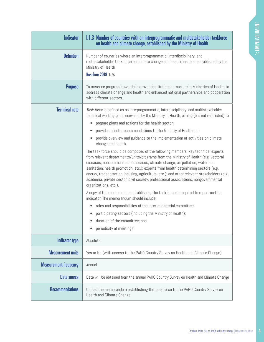<span id="page-8-0"></span>

| <b>Indicator</b>             | 1.1.3 Number of countries with an interprogrammatic and multistakeholder taskforce<br>on health and climate change, established by the Ministry of Health                                                                                                                                                                                                                                                                                                                                                                                                    |
|------------------------------|--------------------------------------------------------------------------------------------------------------------------------------------------------------------------------------------------------------------------------------------------------------------------------------------------------------------------------------------------------------------------------------------------------------------------------------------------------------------------------------------------------------------------------------------------------------|
| <b>Definition</b>            | Number of countries where an interprogrammatic, interdisciplinary, and<br>multistakeholder task force on climate change and health has been established by the<br>Ministry of Health<br>Baseline 2018: N/A                                                                                                                                                                                                                                                                                                                                                   |
| <b>Purpose</b>               | To measure progress towards improved institutional structure in Ministries of Health to<br>address climate change and health and enhanced national partnerships and cooperation<br>with different sectors.                                                                                                                                                                                                                                                                                                                                                   |
| <b>Technical note</b>        | Task force is defined as an interprogrammatic, interdisciplinary, and multistakeholder<br>technical working group convened by the Ministry of Health, aiming (but not restricted) to:<br>prepare plans and actions for the health sector;<br>٠<br>provide periodic recommendations to the Ministry of Health; and                                                                                                                                                                                                                                            |
|                              | provide overview and guidance to the implementation of activities on climate<br>change and health.                                                                                                                                                                                                                                                                                                                                                                                                                                                           |
|                              | The task force should be composed of the following members: key technical experts<br>from relevant departments/units/programs from the Ministry of Health (e.g. vectoral<br>diseases, noncommunicable diseases, climate change, air pollution, water and<br>sanitation, health promotion, etc.); experts from health-determining sectors (e.g.<br>energy, transportation, housing, agriculture, etc.); and other relevant stakeholders (e.g.<br>academia, private sector, civil society, professional associations, nongovernmental<br>organizations, etc.). |
|                              | A copy of the memorandum establishing the task force is required to report on this<br>indicator. The memorandum should include:                                                                                                                                                                                                                                                                                                                                                                                                                              |
|                              | roles and responsibilities of the inter-ministerial committee;<br>٠                                                                                                                                                                                                                                                                                                                                                                                                                                                                                          |
|                              | participating sectors (including the Ministry of Health);                                                                                                                                                                                                                                                                                                                                                                                                                                                                                                    |
|                              | duration of the committee; and                                                                                                                                                                                                                                                                                                                                                                                                                                                                                                                               |
|                              | periodicity of meetings.                                                                                                                                                                                                                                                                                                                                                                                                                                                                                                                                     |
| <b>Indicator type</b>        | Absolute                                                                                                                                                                                                                                                                                                                                                                                                                                                                                                                                                     |
| <b>Measurement units</b>     | Yes or No (with access to the PAHO Country Survey on Health and Climate Change)                                                                                                                                                                                                                                                                                                                                                                                                                                                                              |
| <b>Measurement frequency</b> | Annual                                                                                                                                                                                                                                                                                                                                                                                                                                                                                                                                                       |
| <b>Data source</b>           | Data will be obtained from the annual PAHO Country Survey on Health and Climate Change                                                                                                                                                                                                                                                                                                                                                                                                                                                                       |
| <b>Recommendations</b>       | Upload the memorandum establishing the task force to the PAHO Country Survey on<br>Health and Climate Change                                                                                                                                                                                                                                                                                                                                                                                                                                                 |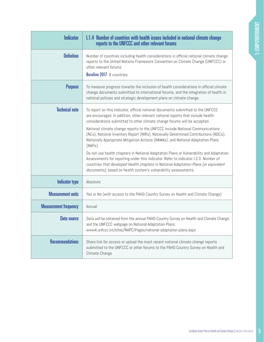<span id="page-9-0"></span>

| <b>Indicator</b>             | 1.1.4 Number of countries with health issues included in national climate change<br>reports to the UNFCCC and other relevant forums                                                                                                                                                                                                       |
|------------------------------|-------------------------------------------------------------------------------------------------------------------------------------------------------------------------------------------------------------------------------------------------------------------------------------------------------------------------------------------|
| <b>Definition</b>            | Number of countries including health considerations in official national climate change<br>reports to the United Nations Framework Convention on Climate Change (UNFCCC) or<br>other relevant forums<br>Baseline 2017: 8 countries                                                                                                        |
| <b>Purpose</b>               | To measure progress towards the inclusion of health considerations in official climate<br>change documents submitted to international forums, and the integration of health in<br>national policies and strategic development plans on climate change.                                                                                    |
| <b>Technical note</b>        | To report on this indicator, official national documents submitted to the UNFCCC<br>are encouraged. In addition, other relevant national reports that include health<br>considerations submitted to other climate change forums will be accepted.                                                                                         |
|                              | National climate change reports to the UNFCCC include National Communications<br>(NCs), National Inventory Report (NIRs), Nationally Determined Contributions (NDCs),<br>Nationally Appropriate Mitigation Actions (NAMAs), and National Adaptation Plans<br>$(NAPs)$ .                                                                   |
|                              | Do not use health chapters in National Adaptation Plans or Vulnerability and Adaptation<br>Assessments for reporting under this indicator. Refer to indicator I.2.3: Number of<br>countries that developed Health chapters in National Adaptation Plans (or equivalent<br>documents), based on health system's vulnerability assessments. |
| <b>Indicator type</b>        | Absolute                                                                                                                                                                                                                                                                                                                                  |
| <b>Measurement units</b>     | Yes or No (with access to the PAHO Country Survey on Health and Climate Change)                                                                                                                                                                                                                                                           |
| <b>Measurement frequency</b> | Annual                                                                                                                                                                                                                                                                                                                                    |
| Data source                  | Data will be obtained from the annual PAHO Country Survey on Health and Climate Change<br>and the UNFCCC webpage on National Adaptation Plans:<br>www4.unfccc.int/sites/NAPC/Pages/national-adaptation-plans.aspx                                                                                                                         |
| <b>Recommendations</b>       | Share link for access or upload the most recent national climate change reports<br>submitted to the UNFCCC or other forums to the PAHO Country Survey on Health and<br>Climate Change                                                                                                                                                     |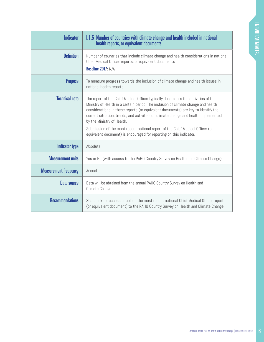<span id="page-10-0"></span>

| <b>Indicator</b>             | 1.1.5 Number of countries with climate change and health included in national<br>health reports, or equivalent documents                                                                                                                                                                                                                                                                                                                                                                                                                  |
|------------------------------|-------------------------------------------------------------------------------------------------------------------------------------------------------------------------------------------------------------------------------------------------------------------------------------------------------------------------------------------------------------------------------------------------------------------------------------------------------------------------------------------------------------------------------------------|
| <b>Definition</b>            | Number of countries that include climate change and health considerations in national<br>Chief Medical Officer reports, or equivalent documents<br>Baseline 2017: N/A                                                                                                                                                                                                                                                                                                                                                                     |
| <b>Purpose</b>               | To measure progress towards the inclusion of climate change and health issues in<br>national health reports.                                                                                                                                                                                                                                                                                                                                                                                                                              |
| <b>Technical note</b>        | The report of the Chief Medical Officer typically documents the activities of the<br>Ministry of Health in a certain period. The inclusion of climate change and health<br>considerations in these reports (or equivalent documents) are key to identify the<br>current situation, trends, and activities on climate change and health implemented<br>by the Ministry of Health.<br>Submission of the most recent national report of the Chief Medical Officer (or<br>equivalent document) is encouraged for reporting on this indicator. |
| <b>Indicator type</b>        | Absolute                                                                                                                                                                                                                                                                                                                                                                                                                                                                                                                                  |
| <b>Measurement units</b>     | Yes or No (with access to the PAHO Country Survey on Health and Climate Change)                                                                                                                                                                                                                                                                                                                                                                                                                                                           |
| <b>Measurement frequency</b> | Annual                                                                                                                                                                                                                                                                                                                                                                                                                                                                                                                                    |
| <b>Data source</b>           | Data will be obtained from the annual PAHO Country Survey on Health and<br>Climate Change                                                                                                                                                                                                                                                                                                                                                                                                                                                 |
| <b>Recommendations</b>       | Share link for access or upload the most recent national Chief Medical Officer report<br>(or equivalent document) to the PAHO Country Survey on Health and Climate Change                                                                                                                                                                                                                                                                                                                                                                 |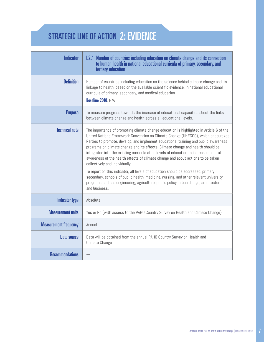# <span id="page-11-0"></span>STRATEGIC LINE OF ACTION 2: EVIDENCE

| <b>Indicator</b>             | 1.2.1 Number of countries including education on climate change and its connection<br>to human health in national educational curricula of primary, secondary, and<br>tertiary education                                                                                                                                                                                                                                                                                                                                                                                                                                                                                                                                                                                                                                                                       |
|------------------------------|----------------------------------------------------------------------------------------------------------------------------------------------------------------------------------------------------------------------------------------------------------------------------------------------------------------------------------------------------------------------------------------------------------------------------------------------------------------------------------------------------------------------------------------------------------------------------------------------------------------------------------------------------------------------------------------------------------------------------------------------------------------------------------------------------------------------------------------------------------------|
| <b>Definition</b>            | Number of countries including education on the science behind climate change and its<br>linkage to health, based on the available scientific evidence, in national educational<br>curricula of primary, secondary, and medical education<br>Baseline 2018: N/A                                                                                                                                                                                                                                                                                                                                                                                                                                                                                                                                                                                                 |
| <b>Purpose</b>               | To measure progress towards the increase of educational capacities about the links<br>between climate change and health across all educational levels.                                                                                                                                                                                                                                                                                                                                                                                                                                                                                                                                                                                                                                                                                                         |
| <b>Technical note</b>        | The importance of promoting climate change education is highlighted in Article 6 of the<br>United Nations Framework Convention on Climate Change (UNFCCC), which encourages<br>Parties to promote, develop, and implement educational training and public awareness<br>programs on climate change and its effects. Climate change and health should be<br>integrated into the existing curricula at all levels of education to increase societal<br>awareness of the health effects of climate change and about actions to be taken<br>collectively and individually.<br>To report on this indicator, all levels of education should be addressed: primary,<br>secondary, schools of public health, medicine, nursing, and other relevant university<br>programs such as engineering, agriculture, public policy, urban design, architecture,<br>and business. |
| <b>Indicator type</b>        | Absolute                                                                                                                                                                                                                                                                                                                                                                                                                                                                                                                                                                                                                                                                                                                                                                                                                                                       |
| <b>Measurement units</b>     | Yes or No (with access to the PAHO Country Survey on Health and Climate Change)                                                                                                                                                                                                                                                                                                                                                                                                                                                                                                                                                                                                                                                                                                                                                                                |
| <b>Measurement frequency</b> | Annual                                                                                                                                                                                                                                                                                                                                                                                                                                                                                                                                                                                                                                                                                                                                                                                                                                                         |
| Data source                  | Data will be obtained from the annual PAHO Country Survey on Health and<br>Climate Change                                                                                                                                                                                                                                                                                                                                                                                                                                                                                                                                                                                                                                                                                                                                                                      |
| <b>Recommendations</b>       |                                                                                                                                                                                                                                                                                                                                                                                                                                                                                                                                                                                                                                                                                                                                                                                                                                                                |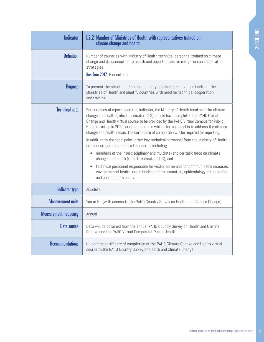<span id="page-12-0"></span>

| <b>Indicator</b>             | <b>I.2.2 Number of Ministries of Health with representatives trained on</b><br>climate change and health                                                                                                                                                                                                                                                                                                                                                           |
|------------------------------|--------------------------------------------------------------------------------------------------------------------------------------------------------------------------------------------------------------------------------------------------------------------------------------------------------------------------------------------------------------------------------------------------------------------------------------------------------------------|
| <b>Definition</b>            | Number of countries with Ministry of Health technical personnel trained on climate<br>change and its connection to health and opportunities for mitigation and adaptation<br>strategies<br>Baseline 2017: 6 countries                                                                                                                                                                                                                                              |
| <b>Purpose</b>               | To present the situation of human capacity on climate change and health in the<br>Ministries of Health and identify countries with need for technical cooperation<br>and training.                                                                                                                                                                                                                                                                                 |
| <b>Technical note</b>        | For purposes of reporting on this indicator, the Ministry of Health focal point for climate<br>change and health (refer to indicator I.1.2) should have completed the PAHO Climate<br>Change and Health virtual course to be provided by the PAHO Virtual Campus for Public<br>Health starting in 2020, or other course in which the main goal is to address the climate<br>change and health nexus. The certificate of completion will be required for reporting. |
|                              | In addition to the focal point, other key technical personnel from the Ministry of Health<br>are encouraged to complete the course, including:                                                                                                                                                                                                                                                                                                                     |
|                              | members of the interdisciplinary and multistakeholder task force on climate<br>٠<br>change and health (refer to indicator I.1.3); and                                                                                                                                                                                                                                                                                                                              |
|                              | technical personnel responsible for vector-borne and noncommunicable diseases,<br>environmental health, urban health, health promotion, epidemiology, air pollution,<br>and public health policy.                                                                                                                                                                                                                                                                  |
| <b>Indicator type</b>        | Absolute                                                                                                                                                                                                                                                                                                                                                                                                                                                           |
| <b>Measurement units</b>     | Yes or No (with access to the PAHO Country Survey on Health and Climate Change)                                                                                                                                                                                                                                                                                                                                                                                    |
| <b>Measurement frequency</b> | Annual                                                                                                                                                                                                                                                                                                                                                                                                                                                             |
| <b>Data source</b>           | Data will be obtained from the annual PAHO Country Survey on Health and Climate<br>Change and the PAHO Virtual Campus for Public Health                                                                                                                                                                                                                                                                                                                            |
| <b>Recommendations</b>       | Upload the certificate of completion of the PAHO Climate Change and Health virtual<br>course to the PAHO Country Survey on Health and Climate Change                                                                                                                                                                                                                                                                                                               |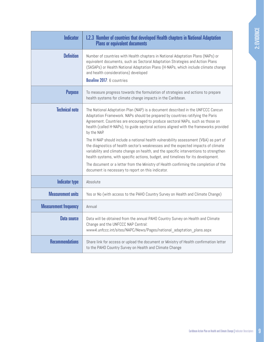<span id="page-13-0"></span>

| <b>Indicator</b>             | <b>I.2.3 Number of countries that developed Health chapters in National Adaptation</b><br><b>Plans or equivalent documents</b>                                                                                                                                                                                                                                                                                                                                                                                                                                                                                                                                                                                                                                                                                                                                          |
|------------------------------|-------------------------------------------------------------------------------------------------------------------------------------------------------------------------------------------------------------------------------------------------------------------------------------------------------------------------------------------------------------------------------------------------------------------------------------------------------------------------------------------------------------------------------------------------------------------------------------------------------------------------------------------------------------------------------------------------------------------------------------------------------------------------------------------------------------------------------------------------------------------------|
| <b>Definition</b>            | Number of countries with Health chapters in National Adaptation Plans (NAPs) or<br>equivalent documents, such as Sectoral Adaptation Strategies and Action Plans<br>(SASAPs) or Health National Adaptation Plans (H-NAPs, which include climate change<br>and health considerations) developed<br>Baseline 2017: 6 countries                                                                                                                                                                                                                                                                                                                                                                                                                                                                                                                                            |
| <b>Purpose</b>               | To measure progress towards the formulation of strategies and actions to prepare<br>health systems for climate change impacts in the Caribbean.                                                                                                                                                                                                                                                                                                                                                                                                                                                                                                                                                                                                                                                                                                                         |
| <b>Technical note</b>        | The National Adaptation Plan (NAP) is a document described in the UNFCCC Cancun<br>Adaptation Framework. NAPs should be prepared by countries ratifying the Paris<br>Agreement. Countries are encouraged to produce sectoral NAPs, such as those on<br>health (called H-NAPs), to guide sectoral actions aligned with the frameworks provided<br>by the NAP.<br>The H-NAP should include a national health vulnerability assessment (V&A) as part of<br>the diagnostics of health sector's weaknesses and the expected impacts of climate<br>variability and climate change on health, and the specific interventions to strengthen<br>health systems, with specific actions, budget, and timelines for its development.<br>The document or a letter from the Ministry of Health confirming the completion of the<br>document is necessary to report on this indicator. |
| <b>Indicator type</b>        | Absolute                                                                                                                                                                                                                                                                                                                                                                                                                                                                                                                                                                                                                                                                                                                                                                                                                                                                |
| <b>Measurement units</b>     | Yes or No (with access to the PAHO Country Survey on Health and Climate Change)                                                                                                                                                                                                                                                                                                                                                                                                                                                                                                                                                                                                                                                                                                                                                                                         |
| <b>Measurement frequency</b> | Annual                                                                                                                                                                                                                                                                                                                                                                                                                                                                                                                                                                                                                                                                                                                                                                                                                                                                  |
| <b>Data source</b>           | Data will be obtained from the annual PAHO Country Survey on Health and Climate<br>Change and the UNFCCC NAP Central:<br>www4.unfccc.int/sites/NAPC/News/Pages/national adaptation plans.aspx                                                                                                                                                                                                                                                                                                                                                                                                                                                                                                                                                                                                                                                                           |
| <b>Recommendations</b>       | Share link for access or upload the document or Ministry of Health confirmation letter<br>to the PAHO Country Survey on Health and Climate Change                                                                                                                                                                                                                                                                                                                                                                                                                                                                                                                                                                                                                                                                                                                       |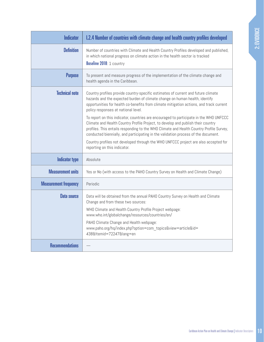<span id="page-14-0"></span>

| <b>Indicator</b>             | 1.2.4 Number of countries with climate change and health country profiles developed                                                                                                                                                                                                                                                                                     |
|------------------------------|-------------------------------------------------------------------------------------------------------------------------------------------------------------------------------------------------------------------------------------------------------------------------------------------------------------------------------------------------------------------------|
| <b>Definition</b>            | Number of countries with Climate and Health Country Profiles developed and published,<br>in which national progress on climate action in the health sector is tracked<br>Baseline 2018: 1 country                                                                                                                                                                       |
| <b>Purpose</b>               | To present and measure progress of the implementation of the climate change and<br>health agenda in the Caribbean.                                                                                                                                                                                                                                                      |
| <b>Technical note</b>        | Country profiles provide country-specific estimates of current and future climate<br>hazards and the expected burden of climate change on human health, identify<br>opportunities for health co-benefits from climate mitigation actions, and track current<br>policy responses at national level.                                                                      |
|                              | To report on this indicator, countries are encouraged to participate in the WHO UNFCCC<br>Climate and Health Country Profile Project, to develop and publish their country<br>profiles. This entails responding to the WHO Climate and Health Country Profile Survey,<br>conducted biennially, and participating in the validation process of the document.             |
|                              | Country profiles not developed through the WHO UNFCCC project are also accepted for<br>reporting on this indicator.                                                                                                                                                                                                                                                     |
| <b>Indicator type</b>        | Absolute                                                                                                                                                                                                                                                                                                                                                                |
| <b>Measurement units</b>     | Yes or No (with access to the PAHO Country Survey on Health and Climate Change)                                                                                                                                                                                                                                                                                         |
| <b>Measurement frequency</b> | Periodic                                                                                                                                                                                                                                                                                                                                                                |
| <b>Data source</b>           | Data will be obtained from the annual PAHO Country Survey on Health and Climate<br>Change and from these two sources:<br>WHO Climate and Health Country Profile Project webpage:<br>www.who.int/globalchange/resources/countries/en/<br>PAHO Climate Change and Health webpage:<br>www.paho.org/hq/index.php?option=com_topics&view=article&id=<br>438&Itemid=72247⟨=en |
| <b>Recommendations</b>       |                                                                                                                                                                                                                                                                                                                                                                         |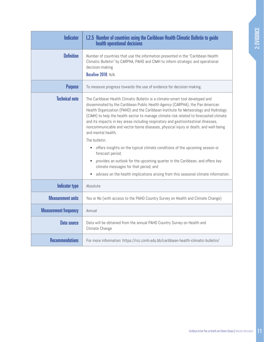<span id="page-15-0"></span>

| <b>Indicator</b>             | <b>I.2.5 Number of countries using the Caribbean Health Climatic Bulletin to guide</b><br>health operational decisions                                                                                                                                                                                                                                                                                                                                                                                                                                                                                                                                                                                                                                                                                                                                                                                          |
|------------------------------|-----------------------------------------------------------------------------------------------------------------------------------------------------------------------------------------------------------------------------------------------------------------------------------------------------------------------------------------------------------------------------------------------------------------------------------------------------------------------------------------------------------------------------------------------------------------------------------------------------------------------------------------------------------------------------------------------------------------------------------------------------------------------------------------------------------------------------------------------------------------------------------------------------------------|
| <b>Definition</b>            | Number of countries that use the information presented in the "Caribbean Health<br>Climatic Bulletin" by CARPHA, PAHO and CIMH to inform strategic and operational<br>decision-making<br>Baseline 2018: N/A                                                                                                                                                                                                                                                                                                                                                                                                                                                                                                                                                                                                                                                                                                     |
| <b>Purpose</b>               | To measure progress towards the use of evidence for decision-making.                                                                                                                                                                                                                                                                                                                                                                                                                                                                                                                                                                                                                                                                                                                                                                                                                                            |
| <b>Technical note</b>        | The Caribbean Health Climatic Bulletin is a climate-smart tool developed and<br>disseminated by the Caribbean Public Health Agency (CARPHA), the Pan American<br>Health Organization (PAHO) and the Caribbean Institute for Meteorology and Hydrology<br>(CIMH) to help the health sector to manage climate risk related to forecasted climate<br>and its impacts in key areas including respiratory and gastrointestinal illnesses,<br>noncommunicable and vector-borne diseases, physical injury or death, and well-being<br>and mental health.<br>The bulletin:<br>offers insights on the typical climate conditions of the upcoming season or<br>$\bullet$<br>forecast period;<br>provides an outlook for the upcoming quarter in the Caribbean, and offers key<br>$\bullet$<br>climate messages for that period; and<br>advises on the health implications arising from this seasonal climate information. |
| <b>Indicator type</b>        | Absolute                                                                                                                                                                                                                                                                                                                                                                                                                                                                                                                                                                                                                                                                                                                                                                                                                                                                                                        |
| <b>Measurement units</b>     | Yes or No (with access to the PAHO Country Survey on Health and Climate Change)                                                                                                                                                                                                                                                                                                                                                                                                                                                                                                                                                                                                                                                                                                                                                                                                                                 |
| <b>Measurement frequency</b> | Annual                                                                                                                                                                                                                                                                                                                                                                                                                                                                                                                                                                                                                                                                                                                                                                                                                                                                                                          |
| <b>Data source</b>           | Data will be obtained from the annual PAHO Country Survey on Health and<br>Climate Change                                                                                                                                                                                                                                                                                                                                                                                                                                                                                                                                                                                                                                                                                                                                                                                                                       |
| <b>Recommendations</b>       | For more information: https://rcc.cimh.edu.bb/caribbean-health-climatic-bulletin/                                                                                                                                                                                                                                                                                                                                                                                                                                                                                                                                                                                                                                                                                                                                                                                                                               |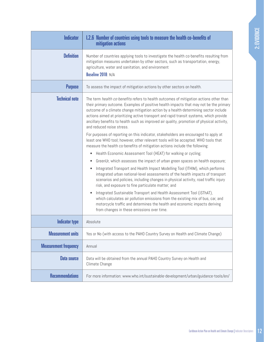<span id="page-16-0"></span>

| <b>Indicator</b>             | 1.2.6 Number of countries using tools to measure the health co-benefits of<br>mitigation actions                                                                                                                                                                                                                                                                                                                                                                                                                                                                                                                                                                                                                                                                                                                                                                                                                                                                                                                                                                                                                                                                                                                                                                                                                                                                                                                                                                                               |
|------------------------------|------------------------------------------------------------------------------------------------------------------------------------------------------------------------------------------------------------------------------------------------------------------------------------------------------------------------------------------------------------------------------------------------------------------------------------------------------------------------------------------------------------------------------------------------------------------------------------------------------------------------------------------------------------------------------------------------------------------------------------------------------------------------------------------------------------------------------------------------------------------------------------------------------------------------------------------------------------------------------------------------------------------------------------------------------------------------------------------------------------------------------------------------------------------------------------------------------------------------------------------------------------------------------------------------------------------------------------------------------------------------------------------------------------------------------------------------------------------------------------------------|
| <b>Definition</b>            | Number of countries applying tools to investigate the health co-benefits resulting from<br>mitigation measures undertaken by other sectors, such as transportation, energy,<br>agriculture, water and sanitation, and environment<br>Baseline 2018: N/A                                                                                                                                                                                                                                                                                                                                                                                                                                                                                                                                                                                                                                                                                                                                                                                                                                                                                                                                                                                                                                                                                                                                                                                                                                        |
| <b>Purpose</b>               | To assess the impact of mitigation actions by other sectors on health.                                                                                                                                                                                                                                                                                                                                                                                                                                                                                                                                                                                                                                                                                                                                                                                                                                                                                                                                                                                                                                                                                                                                                                                                                                                                                                                                                                                                                         |
| <b>Technical note</b>        | The term health co-benefits refers to health outcomes of mitigation actions other than<br>their primary outcome. Examples of positive health impacts that may not be the primary<br>outcome of a climate change mitigation action by a health-determining sector include<br>actions aimed at prioritizing active transport and rapid transit systems, which provide<br>ancillary benefits to health such as improved air quality, promotion of physical activity,<br>and reduced noise stress.<br>For purposes of reporting on this indicator, stakeholders are encouraged to apply at<br>least one WHO tool; however, other relevant tools will be accepted. WHO tools that<br>measure the health co-benefits of mitigation actions include the following:<br>Health Economic Assessment Tool (HEAT) for walking or cycling;<br>٠<br>GreenUr, which assesses the impact of urban green spaces on health exposure;<br>٠<br>Integrated Transport and Health Impact Modelling Tool (ITHIM), which performs<br>$\bullet$<br>integrated urban national-level assessments of the health impacts of transport<br>scenarios and policies, including changes in physical activity, road traffic injury<br>risk, and exposure to fine particulate matter; and<br>Integrated Sustainable Transport and Health Assessment Tool (iSThAT),<br>which calculates air pollution emissions from the existing mix of bus, car, and<br>motorcycle traffic and determines the health and economic impacts deriving |
| Indicator type               | from changes in these emissions over time.<br>Absolute                                                                                                                                                                                                                                                                                                                                                                                                                                                                                                                                                                                                                                                                                                                                                                                                                                                                                                                                                                                                                                                                                                                                                                                                                                                                                                                                                                                                                                         |
| <b>Measurement units</b>     | Yes or No (with access to the PAHO Country Survey on Health and Climate Change)                                                                                                                                                                                                                                                                                                                                                                                                                                                                                                                                                                                                                                                                                                                                                                                                                                                                                                                                                                                                                                                                                                                                                                                                                                                                                                                                                                                                                |
| <b>Measurement frequency</b> | Annual                                                                                                                                                                                                                                                                                                                                                                                                                                                                                                                                                                                                                                                                                                                                                                                                                                                                                                                                                                                                                                                                                                                                                                                                                                                                                                                                                                                                                                                                                         |
| Data source                  | Data will be obtained from the annual PAHO Country Survey on Health and<br>Climate Change                                                                                                                                                                                                                                                                                                                                                                                                                                                                                                                                                                                                                                                                                                                                                                                                                                                                                                                                                                                                                                                                                                                                                                                                                                                                                                                                                                                                      |
| <b>Recommendations</b>       | For more information: www.who.int/sustainable-development/urban/guidance-tools/en/                                                                                                                                                                                                                                                                                                                                                                                                                                                                                                                                                                                                                                                                                                                                                                                                                                                                                                                                                                                                                                                                                                                                                                                                                                                                                                                                                                                                             |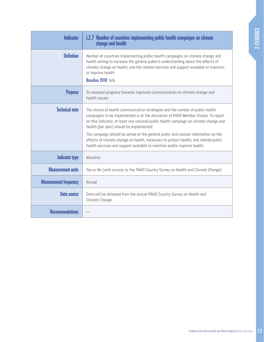<span id="page-17-0"></span>

| <b>Indicator</b>             | <b>I.2.7 Number of countries implementing public health campaigns on climate</b><br>change and health                                                                                                                                                                                                                                                                                                                                                                                                                                                           |
|------------------------------|-----------------------------------------------------------------------------------------------------------------------------------------------------------------------------------------------------------------------------------------------------------------------------------------------------------------------------------------------------------------------------------------------------------------------------------------------------------------------------------------------------------------------------------------------------------------|
| <b>Definition</b>            | Number of countries implementing public health campaigns on climate change and<br>health aiming to increase the general public's understanding about the effects of<br>climate change on health, and the related services and support available to maintain<br>or improve health<br>Baseline 2018: N/A                                                                                                                                                                                                                                                          |
| <b>Purpose</b>               | To measure progress towards improved communication on climate change and<br>health issues.                                                                                                                                                                                                                                                                                                                                                                                                                                                                      |
| <b>Technical note</b>        | The choice of health communication strategies and the number of public health<br>campaigns to be implemented is at the discretion of PAHO Member States. To report<br>on this indicator, at least one national public health campaign on climate change and<br>health (per year) should be implemented.<br>The campaign should be aimed at the general public and contain information on the<br>effects of climate change on health, measures to protect health, and related public<br>health services and support available to maintain and/or improve health. |
| <b>Indicator type</b>        | Absolute                                                                                                                                                                                                                                                                                                                                                                                                                                                                                                                                                        |
| <b>Measurement units</b>     | Yes or No (with access to the PAHO Country Survey on Health and Climate Change)                                                                                                                                                                                                                                                                                                                                                                                                                                                                                 |
| <b>Measurement frequency</b> | Annual                                                                                                                                                                                                                                                                                                                                                                                                                                                                                                                                                          |
| Data source                  | Data will be obtained from the annual PAHO Country Survey on Health and<br>Climate Change                                                                                                                                                                                                                                                                                                                                                                                                                                                                       |
| <b>Recommendations</b>       |                                                                                                                                                                                                                                                                                                                                                                                                                                                                                                                                                                 |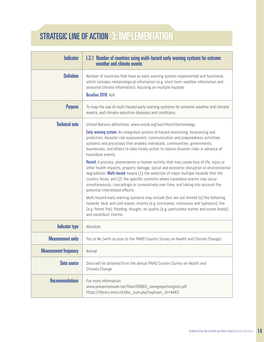# <span id="page-18-0"></span>STRATEGIC LINE OF ACTION 3: IMPLEMENTATION 3: IMPLEMENTATION

| <b>Indicator</b>             | 1.3.1 Number of countries using multi-hazard early warning systems for extreme<br>weather and climate events                                                                                                                                                                                                                                                                                                                                                                                                                                                                                                                                                                                                                                                                                                                                                                                                                                                                                                                                                                                                                                                                                                                              |
|------------------------------|-------------------------------------------------------------------------------------------------------------------------------------------------------------------------------------------------------------------------------------------------------------------------------------------------------------------------------------------------------------------------------------------------------------------------------------------------------------------------------------------------------------------------------------------------------------------------------------------------------------------------------------------------------------------------------------------------------------------------------------------------------------------------------------------------------------------------------------------------------------------------------------------------------------------------------------------------------------------------------------------------------------------------------------------------------------------------------------------------------------------------------------------------------------------------------------------------------------------------------------------|
| <b>Definition</b>            | Number of countries that have an early warning system implemented and functional,<br>which includes meteorological information (e.g. short-term weather information and<br>seasonal climate information), focusing on multiple hazards<br>Baseline 2018: N/A                                                                                                                                                                                                                                                                                                                                                                                                                                                                                                                                                                                                                                                                                                                                                                                                                                                                                                                                                                              |
| <b>Purpose</b>               | To map the use of multi-hazard early warning systems for extreme weather and climate<br>events, and climate-sensitive diseases and conditions.                                                                                                                                                                                                                                                                                                                                                                                                                                                                                                                                                                                                                                                                                                                                                                                                                                                                                                                                                                                                                                                                                            |
| <b>Technical note</b>        | United Nations definitions: www.unisdr.org/we/inform/terminology<br><b>Early warning system:</b> An integrated system of hazard monitoring, forecasting and<br>prediction, disaster risk assessment, communication and preparedness activities,<br>systems and processes that enables individuals, communities, governments,<br>businesses, and others to take timely action to reduce disaster risks in advance of<br>hazardous events.<br>Hazard: A process, phenomenon or human activity that may cause loss of life, injury or<br>other health impacts, property damage, social and economic disruption or environmental<br>degradation. Multi-hazard means (1) the selection of major multiple hazards that the<br>country faces, and (2) the specific contexts where hazardous events may occur<br>simultaneously, cascadingly or cumulatively over time, and taking into account the<br>potential interrelated effects.<br>Multi-hazard early warning systems may include (but are not limited to) the following<br>hazards: heat and cold waves; storms (e.g. hurricanes, monsoons and typhoons); fire<br>(e.g. forest fire); flooding; drought; air quality (e.g. particulate matter and ozone levels);<br>and sand/dust storms. |
| <b>Indicator type</b>        | Absolute                                                                                                                                                                                                                                                                                                                                                                                                                                                                                                                                                                                                                                                                                                                                                                                                                                                                                                                                                                                                                                                                                                                                                                                                                                  |
| <b>Measurement units</b>     | Yes or No (with access to the PAHO Country Survey on Health and Climate Change)                                                                                                                                                                                                                                                                                                                                                                                                                                                                                                                                                                                                                                                                                                                                                                                                                                                                                                                                                                                                                                                                                                                                                           |
| <b>Measurement frequency</b> | Annual                                                                                                                                                                                                                                                                                                                                                                                                                                                                                                                                                                                                                                                                                                                                                                                                                                                                                                                                                                                                                                                                                                                                                                                                                                    |
| <b>Data source</b>           | Data will be obtained from the annual PAHO Country Survey on Health and<br>Climate Change                                                                                                                                                                                                                                                                                                                                                                                                                                                                                                                                                                                                                                                                                                                                                                                                                                                                                                                                                                                                                                                                                                                                                 |
| <b>Recommendations</b>       | For more information:<br>www.preventionweb.net/files/50683_oiewgreportenglish.pdf<br>https://library.wmo.int/doc num.php?explnum id=4463                                                                                                                                                                                                                                                                                                                                                                                                                                                                                                                                                                                                                                                                                                                                                                                                                                                                                                                                                                                                                                                                                                  |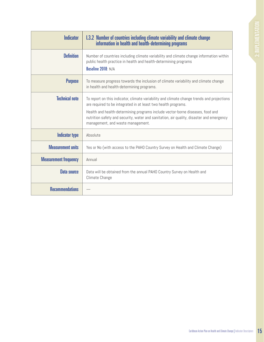<span id="page-19-0"></span>

| <b>Indicator</b>             | 1.3.2 Number of countries including climate variability and climate change<br>information in health and health-determining programs                                                                                                                                                                                                                                             |
|------------------------------|---------------------------------------------------------------------------------------------------------------------------------------------------------------------------------------------------------------------------------------------------------------------------------------------------------------------------------------------------------------------------------|
| <b>Definition</b>            | Number of countries including climate variability and climate change information within<br>public health practice in health and health-determining programs<br>Baseline 2018: N/A                                                                                                                                                                                               |
| <b>Purpose</b>               | To measure progress towards the inclusion of climate variability and climate change<br>in health and health-determining programs.                                                                                                                                                                                                                                               |
| <b>Technical note</b>        | To report on this indicator, climate variability and climate change trends and projections<br>are required to be integrated in at least two health programs.<br>Health and health-determining programs include vector-borne diseases, food and<br>nutrition safety and security, water and sanitation, air quality, disaster and emergency<br>management, and waste management. |
| <b>Indicator type</b>        | Absolute                                                                                                                                                                                                                                                                                                                                                                        |
| <b>Measurement units</b>     | Yes or No (with access to the PAHO Country Survey on Health and Climate Change)                                                                                                                                                                                                                                                                                                 |
| <b>Measurement frequency</b> | Annual                                                                                                                                                                                                                                                                                                                                                                          |
| <b>Data source</b>           | Data will be obtained from the annual PAHO Country Survey on Health and<br>Climate Change                                                                                                                                                                                                                                                                                       |
| <b>Recommendations</b>       |                                                                                                                                                                                                                                                                                                                                                                                 |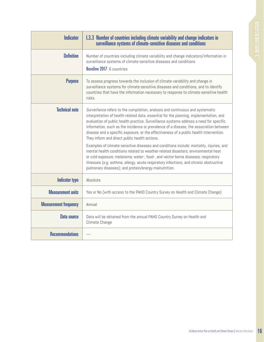<span id="page-20-0"></span>

| <b>Indicator</b>             | 1.3.3 Number of countries including climate variability and change indicators in<br>surveillance systems of climate-sensitive diseases and conditions                                                                                                                                                                                                                                                                                                                                                   |
|------------------------------|---------------------------------------------------------------------------------------------------------------------------------------------------------------------------------------------------------------------------------------------------------------------------------------------------------------------------------------------------------------------------------------------------------------------------------------------------------------------------------------------------------|
| <b>Definition</b>            | Number of countries including climate variability and change indicators/information in<br>surveillance systems of climate-sensitive diseases and conditions<br>Baseline 2017: 6 countries                                                                                                                                                                                                                                                                                                               |
| <b>Purpose</b>               | To assess progress towards the inclusion of climate variability and change in<br>surveillance systems for climate-sensitive diseases and conditions, and to identify<br>countries that have the information necessary to response to climate-sensitive health<br>risks.                                                                                                                                                                                                                                 |
| <b>Technical note</b>        | Surveillance refers to the compilation, analysis and continuous and systematic<br>interpretation of health-related data, essential for the planning, implementation, and<br>evaluation of public health practice. Surveillance systems address a need for specific<br>information, such as the incidence or prevalence of a disease, the association between<br>disease and a specific exposure, or the effectiveness of a public health intervention.<br>They inform and direct public health actions. |
|                              | Examples of climate-sensitive diseases and conditions include: mortality, injuries, and<br>mental health conditions related to weather-related disasters; environmental heat<br>or cold exposure; melanoma; water-, food-, and vector-borne diseases; respiratory<br>illnesses (e.g. asthma, allergy, acute respiratory infections, and chronic obstructive<br>pulmonary diseases); and protein/energy malnutrition.                                                                                    |
| <b>Indicator type</b>        | Absolute                                                                                                                                                                                                                                                                                                                                                                                                                                                                                                |
| <b>Measurement units</b>     | Yes or No (with access to the PAHO Country Survey on Health and Climate Change)                                                                                                                                                                                                                                                                                                                                                                                                                         |
| <b>Measurement frequency</b> | Annual                                                                                                                                                                                                                                                                                                                                                                                                                                                                                                  |
| <b>Data source</b>           | Data will be obtained from the annual PAHO Country Survey on Health and<br>Climate Change                                                                                                                                                                                                                                                                                                                                                                                                               |
| <b>Recommendations</b>       |                                                                                                                                                                                                                                                                                                                                                                                                                                                                                                         |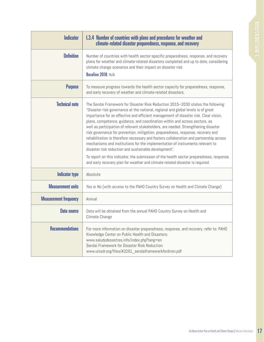<span id="page-21-0"></span>

| <b>Indicator</b>             | 1.3.4 Number of countries with plans and procedures for weather and<br>climate-related disaster preparedness, response, and recovery                                                                                                                                                                                                                                                                                                                                                                                                                                                                                                                                                                                                                                                                                                                                                                                                    |
|------------------------------|-----------------------------------------------------------------------------------------------------------------------------------------------------------------------------------------------------------------------------------------------------------------------------------------------------------------------------------------------------------------------------------------------------------------------------------------------------------------------------------------------------------------------------------------------------------------------------------------------------------------------------------------------------------------------------------------------------------------------------------------------------------------------------------------------------------------------------------------------------------------------------------------------------------------------------------------|
| <b>Definition</b>            | Number of countries with health sector-specific preparedness, response, and recovery<br>plans for weather and climate-related disasters completed and up to date, considering<br>climate change scenarios and their impact on disaster risk<br>Baseline 2018: N/A                                                                                                                                                                                                                                                                                                                                                                                                                                                                                                                                                                                                                                                                       |
| <b>Purpose</b>               | To measure progress towards the health sector capacity for preparedness, response,<br>and early recovery of weather and climate-related disasters.                                                                                                                                                                                                                                                                                                                                                                                                                                                                                                                                                                                                                                                                                                                                                                                      |
| <b>Technical note</b>        | The Sendai Framework for Disaster Risk Reduction 2015-2030 states the following:<br>"Disaster risk governance at the national, regional and global levels is of great<br>importance for an effective and efficient management of disaster risk. Clear vision,<br>plans, competence, guidance, and coordination within and across sectors, as<br>well as participation of relevant stakeholders, are needed. Strengthening disaster<br>risk governance for prevention, mitigation, preparedness, response, recovery and<br>rehabilitation is therefore necessary and fosters collaboration and partnership across<br>mechanisms and institutions for the implementation of instruments relevant to<br>disaster risk reduction and sustainable development".<br>To report on this indicator, the submission of the health sector preparedness, response,<br>and early recovery plan for weather and climate-related disaster is required. |
| <b>Indicator type</b>        | Absolute                                                                                                                                                                                                                                                                                                                                                                                                                                                                                                                                                                                                                                                                                                                                                                                                                                                                                                                                |
| <b>Measurement units</b>     | Yes or No (with access to the PAHO Country Survey on Health and Climate Change)                                                                                                                                                                                                                                                                                                                                                                                                                                                                                                                                                                                                                                                                                                                                                                                                                                                         |
| <b>Measurement frequency</b> | Annual                                                                                                                                                                                                                                                                                                                                                                                                                                                                                                                                                                                                                                                                                                                                                                                                                                                                                                                                  |
| <b>Data source</b>           | Data will be obtained from the annual PAHO Country Survey on Health and<br>Climate Change                                                                                                                                                                                                                                                                                                                                                                                                                                                                                                                                                                                                                                                                                                                                                                                                                                               |
| <b>Recommendations</b>       | For more information on disaster preparedness, response, and recovery, refer to: PAHO<br>Knowledge Center on Public Health and Disasters:<br>www.saludydesastres.info/index.php?lang=en<br>Sendai Framework for Disaster Risk Reduction:<br>www.unisdr.org/files/43291_sendaiframeworkfordrren.pdf                                                                                                                                                                                                                                                                                                                                                                                                                                                                                                                                                                                                                                      |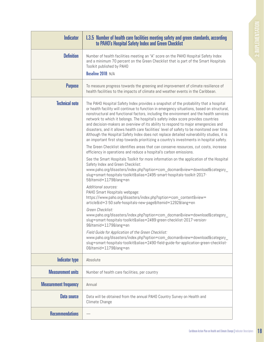<span id="page-22-0"></span>

| <b>Indicator</b>             | 1.3.5 Number of health care facilities meeting safety and green standards, according<br>to PAHO's Hospital Safety Index and Green Checklist                                                                                                                                                                                                                                                                                                                                                                                                                                                                                                                                                                                                                                                                                                                                                                                                                                                                                                                                                                                                                                                                                                                                                                                                                                                                                                                                                                                                                                                                                                                                                                                                                                                                                                                            |
|------------------------------|------------------------------------------------------------------------------------------------------------------------------------------------------------------------------------------------------------------------------------------------------------------------------------------------------------------------------------------------------------------------------------------------------------------------------------------------------------------------------------------------------------------------------------------------------------------------------------------------------------------------------------------------------------------------------------------------------------------------------------------------------------------------------------------------------------------------------------------------------------------------------------------------------------------------------------------------------------------------------------------------------------------------------------------------------------------------------------------------------------------------------------------------------------------------------------------------------------------------------------------------------------------------------------------------------------------------------------------------------------------------------------------------------------------------------------------------------------------------------------------------------------------------------------------------------------------------------------------------------------------------------------------------------------------------------------------------------------------------------------------------------------------------------------------------------------------------------------------------------------------------|
| <b>Definition</b>            | Number of health facilities meeting an "A" score on the PAHO Hospital Safety Index<br>and a minimum 70 percent on the Green Checklist that is part of the Smart Hospitals<br>Toolkit published by PAHO<br>Baseline 2018: N/A                                                                                                                                                                                                                                                                                                                                                                                                                                                                                                                                                                                                                                                                                                                                                                                                                                                                                                                                                                                                                                                                                                                                                                                                                                                                                                                                                                                                                                                                                                                                                                                                                                           |
| <b>Purpose</b>               | To measure progress towards the greening and improvement of climate resilience of<br>health facilities to the impacts of climate and weather events in the Caribbean.                                                                                                                                                                                                                                                                                                                                                                                                                                                                                                                                                                                                                                                                                                                                                                                                                                                                                                                                                                                                                                                                                                                                                                                                                                                                                                                                                                                                                                                                                                                                                                                                                                                                                                  |
| <b>Technical note</b>        | The PAHO Hospital Safety Index provides a snapshot of the probability that a hospital<br>or health facility will continue to function in emergency situations, based on structural,<br>nonstructural and functional factors, including the environment and the health services<br>network to which it belongs. The hospital's safety index score provides countries<br>and decision-makers an overview of its ability to respond to major emergencies and<br>disasters, and it allows health care facilities' level of safety to be monitored over time.<br>Although the Hospital Safety Index does not replace detailed vulnerability studies, it is<br>an important first step towards prioritizing a country's investments in hospital safety.<br>The Green Checklist identifies areas that can conserve resources, cut costs, increase<br>efficiency in operations and reduce a hospital's carbon emissions.<br>See the Smart Hospitals Toolkit for more information on the application of the Hospital<br>Safety Index and Green Checklist:<br>www.paho.org/disasters/index.php?option=com_docman&view=download&category_<br>slug=smart-hospitals-toolkit&alias=2495-smart-hospitals-toolkit-2017-<br>5&Itemid=1179⟨=en<br>Additional sources:<br>PAHO Smart Hospitals webpage:<br>https://www.paho.org/disasters/index.php?option=com_content&view=<br>article&id=3 50:safe-hospitals-new-page&Itemid=1292⟨=en<br>Green Checklist:<br>www.paho.org/disasters/index.php?option=com_docman&view=download&category_<br>slug=smart-hospitals-toolkit&alias=2489-green-checklist-2017-version-<br>9&Itemid=1179⟨=en<br>Field Guide for Application of the Green Checklist:<br>www.paho.org/disasters/index.php?option=com_docman&view=download&category_<br>slug=smart-hospitals-toolkit&alias=2490-field-guide-for-application-green-checklist-<br>0&Itemid=1179⟨=en |
| <b>Indicator type</b>        | Absolute                                                                                                                                                                                                                                                                                                                                                                                                                                                                                                                                                                                                                                                                                                                                                                                                                                                                                                                                                                                                                                                                                                                                                                                                                                                                                                                                                                                                                                                                                                                                                                                                                                                                                                                                                                                                                                                               |
| <b>Measurement units</b>     | Number of health care facilities, per country                                                                                                                                                                                                                                                                                                                                                                                                                                                                                                                                                                                                                                                                                                                                                                                                                                                                                                                                                                                                                                                                                                                                                                                                                                                                                                                                                                                                                                                                                                                                                                                                                                                                                                                                                                                                                          |
| <b>Measurement frequency</b> | Annual                                                                                                                                                                                                                                                                                                                                                                                                                                                                                                                                                                                                                                                                                                                                                                                                                                                                                                                                                                                                                                                                                                                                                                                                                                                                                                                                                                                                                                                                                                                                                                                                                                                                                                                                                                                                                                                                 |
| Data source                  | Data will be obtained from the annual PAHO Country Survey on Health and<br>Climate Change                                                                                                                                                                                                                                                                                                                                                                                                                                                                                                                                                                                                                                                                                                                                                                                                                                                                                                                                                                                                                                                                                                                                                                                                                                                                                                                                                                                                                                                                                                                                                                                                                                                                                                                                                                              |
| <b>Recommendations</b>       |                                                                                                                                                                                                                                                                                                                                                                                                                                                                                                                                                                                                                                                                                                                                                                                                                                                                                                                                                                                                                                                                                                                                                                                                                                                                                                                                                                                                                                                                                                                                                                                                                                                                                                                                                                                                                                                                        |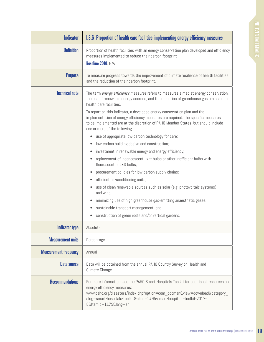<span id="page-23-0"></span>

| <b>Indicator</b>             | 1.3.6 Proportion of health care facilities implementing energy efficiency measures                                                                                                                                                                                                                                                                                                                                                                                                                                                                                                                                                                                                                                                                                                                                                                                                                                                                                                                                                                                                                                               |
|------------------------------|----------------------------------------------------------------------------------------------------------------------------------------------------------------------------------------------------------------------------------------------------------------------------------------------------------------------------------------------------------------------------------------------------------------------------------------------------------------------------------------------------------------------------------------------------------------------------------------------------------------------------------------------------------------------------------------------------------------------------------------------------------------------------------------------------------------------------------------------------------------------------------------------------------------------------------------------------------------------------------------------------------------------------------------------------------------------------------------------------------------------------------|
| <b>Definition</b>            | Proportion of health facilities with an energy conservation plan developed and efficiency<br>measures implemented to reduce their carbon footprint<br>Baseline 2018: N/A                                                                                                                                                                                                                                                                                                                                                                                                                                                                                                                                                                                                                                                                                                                                                                                                                                                                                                                                                         |
| <b>Purpose</b>               | To measure progress towards the improvement of climate resilience of health facilities<br>and the reduction of their carbon footprint.                                                                                                                                                                                                                                                                                                                                                                                                                                                                                                                                                                                                                                                                                                                                                                                                                                                                                                                                                                                           |
| <b>Technical note</b>        | The term energy efficiency measures refers to measures aimed at energy conservation,<br>the use of renewable energy sources, and the reduction of greenhouse gas emissions in<br>health care facilities.<br>To report on this indicator, a developed energy conservation plan and the<br>implementation of energy efficiency measures are required. The specific measures<br>to be implemented are at the discretion of PAHO Member States, but should include<br>one or more of the following:<br>use of appropriate low-carbon technology for care;<br>low-carbon building design and construction;<br>investment in renewable energy and energy efficiency;<br>replacement of incandescent light bulbs or other inefficient bulbs with<br>fluorescent or LED bulbs;<br>procurement policies for low-carbon supply chains;<br>efficient air-conditioning units;<br>use of clean renewable sources such as solar (e.g. photovoltaic systems)<br>and wind;<br>minimizing use of high greenhouse gas-emitting anaesthetic gases;<br>sustainable transport management; and<br>construction of green roofs and/or vertical gardens. |
| <b>Indicator type</b>        | Absolute                                                                                                                                                                                                                                                                                                                                                                                                                                                                                                                                                                                                                                                                                                                                                                                                                                                                                                                                                                                                                                                                                                                         |
| <b>Measurement units</b>     | Percentage                                                                                                                                                                                                                                                                                                                                                                                                                                                                                                                                                                                                                                                                                                                                                                                                                                                                                                                                                                                                                                                                                                                       |
|                              |                                                                                                                                                                                                                                                                                                                                                                                                                                                                                                                                                                                                                                                                                                                                                                                                                                                                                                                                                                                                                                                                                                                                  |
| <b>Measurement frequency</b> | Annual                                                                                                                                                                                                                                                                                                                                                                                                                                                                                                                                                                                                                                                                                                                                                                                                                                                                                                                                                                                                                                                                                                                           |
| Data source                  | Data will be obtained from the annual PAHO Country Survey on Health and<br>Climate Change                                                                                                                                                                                                                                                                                                                                                                                                                                                                                                                                                                                                                                                                                                                                                                                                                                                                                                                                                                                                                                        |
| <b>Recommendations</b>       | For more information, see the PAHO Smart Hospitals Toolkit for additional resources on<br>energy efficiency measures:<br>www.paho.org/disasters/index.php?option=com_docman&view=download&category_<br>slug=smart-hospitals-toolkit&alias=2495-smart-hospitals-toolkit-2017-<br>5&Itemid=1179⟨=en                                                                                                                                                                                                                                                                                                                                                                                                                                                                                                                                                                                                                                                                                                                                                                                                                                |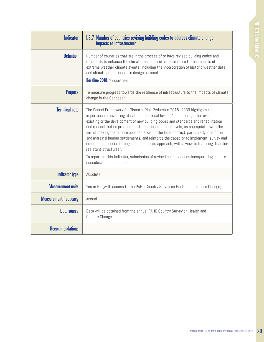<span id="page-24-0"></span>

| <b>Indicator</b>             | 1.3.7 Number of countries revising building codes to address climate change<br>impacts to infrastructure                                                                                                                                                                                                                                                                                                                                                                                                                                                                                                                                                                                                                                                                       |
|------------------------------|--------------------------------------------------------------------------------------------------------------------------------------------------------------------------------------------------------------------------------------------------------------------------------------------------------------------------------------------------------------------------------------------------------------------------------------------------------------------------------------------------------------------------------------------------------------------------------------------------------------------------------------------------------------------------------------------------------------------------------------------------------------------------------|
| <b>Definition</b>            | Number of countries that are in the process of or have revised building codes and<br>standards to enhance the climate resiliency of infrastructure to the impacts of<br>extreme weather climate events, including the incorporation of historic weather data<br>and climate projections into design parameters<br>Baseline 2018: 7 countries                                                                                                                                                                                                                                                                                                                                                                                                                                   |
|                              |                                                                                                                                                                                                                                                                                                                                                                                                                                                                                                                                                                                                                                                                                                                                                                                |
| <b>Purpose</b>               | To measure progress towards the resilience of infrastructure to the impacts of climate<br>change in the Caribbean.                                                                                                                                                                                                                                                                                                                                                                                                                                                                                                                                                                                                                                                             |
| <b>Technical note</b>        | The Sendai Framework for Disaster Risk Reduction 2015-2030 highlights the<br>importance of investing at national and local levels: "To encourage the revision of<br>existing or the development of new building codes and standards and rehabilitation<br>and reconstruction practices at the national or local levels, as appropriate, with the<br>aim of making them more applicable within the local context, particularly in informal<br>and marginal human settlements, and reinforce the capacity to implement, survey and<br>enforce such codes through an appropriate approach, with a view to fostering disaster-<br>resistant structures".<br>To report on this indicator, submission of revised building codes incorporating climate<br>considerations is required. |
| <b>Indicator type</b>        | Absolute                                                                                                                                                                                                                                                                                                                                                                                                                                                                                                                                                                                                                                                                                                                                                                       |
| <b>Measurement units</b>     | Yes or No (with access to the PAHO Country Survey on Health and Climate Change)                                                                                                                                                                                                                                                                                                                                                                                                                                                                                                                                                                                                                                                                                                |
| <b>Measurement frequency</b> | Annual                                                                                                                                                                                                                                                                                                                                                                                                                                                                                                                                                                                                                                                                                                                                                                         |
| <b>Data source</b>           | Data will be obtained from the annual PAHO Country Survey on Health and<br>Climate Change                                                                                                                                                                                                                                                                                                                                                                                                                                                                                                                                                                                                                                                                                      |
| <b>Recommendations</b>       |                                                                                                                                                                                                                                                                                                                                                                                                                                                                                                                                                                                                                                                                                                                                                                                |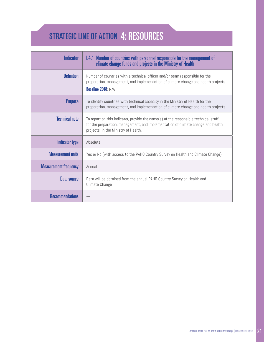# <span id="page-25-0"></span>STRATEGIC LINE OF ACTION 4: RESOURCES

| <b>Indicator</b>             | 1.4.1 Number of countries with personnel responsible for the management of<br>climate change funds and projects in the Ministry of Health                                                                       |
|------------------------------|-----------------------------------------------------------------------------------------------------------------------------------------------------------------------------------------------------------------|
| <b>Definition</b>            | Number of countries with a technical officer and/or team responsible for the<br>preparation, management, and implementation of climate change and health projects<br>Baseline 2018: N/A                         |
| <b>Purpose</b>               | To identify countries with technical capacity in the Ministry of Health for the<br>preparation, management, and implementation of climate change and health projects.                                           |
| <b>Technical note</b>        | To report on this indicator, provide the name(s) of the responsible technical staff<br>for the preparation, management, and implementation of climate change and health<br>projects, in the Ministry of Health. |
| Indicator type               | Absolute                                                                                                                                                                                                        |
| <b>Measurement units</b>     | Yes or No (with access to the PAHO Country Survey on Health and Climate Change)                                                                                                                                 |
| <b>Measurement frequency</b> | Annual                                                                                                                                                                                                          |
| Data source                  | Data will be obtained from the annual PAHO Country Survey on Health and<br>Climate Change                                                                                                                       |
| <b>Recommendations</b>       |                                                                                                                                                                                                                 |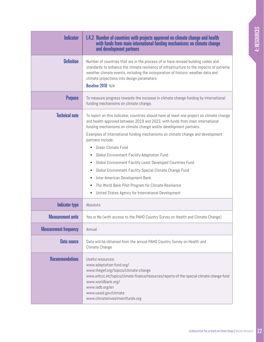<span id="page-26-0"></span>

| <b>Indicator</b>             | <b>I.4.2 Number of countries with projects approved on climate change and health</b><br>with funds from main international funding mechanisms on climate change<br>and development partners                                                                                                                                                                                                                                                                                                                                                                                                                                                                                                               |
|------------------------------|-----------------------------------------------------------------------------------------------------------------------------------------------------------------------------------------------------------------------------------------------------------------------------------------------------------------------------------------------------------------------------------------------------------------------------------------------------------------------------------------------------------------------------------------------------------------------------------------------------------------------------------------------------------------------------------------------------------|
| <b>Definition</b>            | Number of countries that are in the process of or have revised building codes and<br>standards to enhance the climate resiliency of infrastructure to the impacts of extreme<br>weather climate events, including the incorporation of historic weather data and<br>climate projections into design parameters<br>Baseline 2018: N/A                                                                                                                                                                                                                                                                                                                                                                      |
| <b>Purpose</b>               | To measure progress towards the increase in climate change funding by international<br>funding mechanisms on climate change.                                                                                                                                                                                                                                                                                                                                                                                                                                                                                                                                                                              |
| <b>Technical note</b>        | To report on this indicator, countries should have at least one project on climate change<br>and health approved between 2019 and 2023, with funds from main international<br>funding mechanisms on climate change and/or development partners.<br>Examples of international funding mechanisms on climate change and development<br>partners include:<br>Green Climate Fund<br>Global Environment Facility Adaptation Fund<br>Global Environment Facility Least Developed Countries Fund<br>Global Environment Facility Special Climate Change Fund<br>٠<br>Inter-American Development Bank<br>The World Bank Pilot Program for Climate Resilience<br>United States Agency for International Development |
| <b>Indicator type</b>        | Absolute                                                                                                                                                                                                                                                                                                                                                                                                                                                                                                                                                                                                                                                                                                  |
| <b>Measurement units</b>     | Yes or No (with access to the PAHO Country Survey on Health and Climate Change)                                                                                                                                                                                                                                                                                                                                                                                                                                                                                                                                                                                                                           |
| <b>Measurement frequency</b> | Annual                                                                                                                                                                                                                                                                                                                                                                                                                                                                                                                                                                                                                                                                                                    |
| Data source                  | Data will be obtained from the annual PAHO Country Survey on Health and<br>Climate Change                                                                                                                                                                                                                                                                                                                                                                                                                                                                                                                                                                                                                 |
| <b>Recommendations</b>       | Useful resources:<br>www.adaptation-fund.org/<br>www.thegef.org/topics/climate-change<br>www.unfccc.int/topics/climate-finance/resources/reports-of-the-special-climate-change-fund<br>www.worldbank.org/<br>www.iadb.org/en<br>www.usaid.gov/climate<br>www.climateinvestmentfunds.org                                                                                                                                                                                                                                                                                                                                                                                                                   |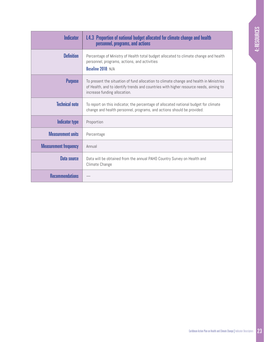<span id="page-27-0"></span>

| <b>Indicator</b>             | <b>I.4.3 Proportion of national budget allocated for climate change and health</b><br>personnel, programs, and actions                                                                                          |
|------------------------------|-----------------------------------------------------------------------------------------------------------------------------------------------------------------------------------------------------------------|
| <b>Definition</b>            | Percentage of Ministry of Health total budget allocated to climate change and health<br>personnel, programs, actions, and activities<br>Baseline 2018: N/A                                                      |
| <b>Purpose</b>               | To present the situation of fund allocation to climate change and health in Ministries<br>of Health, and to identify trends and countries with higher resource needs, aiming to<br>increase funding allocation. |
| <b>Technical note</b>        | To report on this indicator, the percentage of allocated national budget for climate<br>change and health personnel, programs, and actions should be provided.                                                  |
| Indicator type               | Proportion                                                                                                                                                                                                      |
| <b>Measurement units</b>     | Percentage                                                                                                                                                                                                      |
| <b>Measurement frequency</b> | Annual                                                                                                                                                                                                          |
| Data source                  | Data will be obtained from the annual PAHO Country Survey on Health and<br>Climate Change                                                                                                                       |
| <b>Recommendations</b>       |                                                                                                                                                                                                                 |